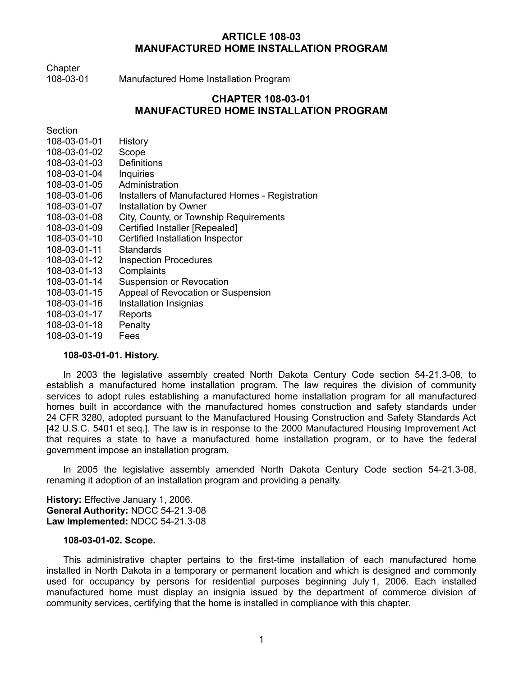# **ARTICLE 108-03 MANUFACTURED HOME INSTALLATION PROGRAM**

**Chapter** 

108-03-01 Manufactured Home Installation Program

# **CHAPTER 108-03-01 MANUFACTURED HOME INSTALLATION PROGRAM**

**Section** 

| 108-03-01-01 | History                                         |
|--------------|-------------------------------------------------|
| 108-03-01-02 | Scope                                           |
| 108-03-01-03 | <b>Definitions</b>                              |
| 108-03-01-04 | Inquiries                                       |
| 108-03-01-05 | Administration                                  |
| 108-03-01-06 | Installers of Manufactured Homes - Registration |
| 108-03-01-07 | Installation by Owner                           |
| 108-03-01-08 | City, County, or Township Requirements          |
| 108-03-01-09 | Certified Installer [Repealed]                  |
| 108-03-01-10 | Certified Installation Inspector                |
| 108-03-01-11 | Standards                                       |
| 108-03-01-12 | <b>Inspection Procedures</b>                    |
| 108-03-01-13 | Complaints                                      |
| 108-03-01-14 | Suspension or Revocation                        |
| 108-03-01-15 | Appeal of Revocation or Suspension              |
| 108-03-01-16 | Installation Insignias                          |
| 108-03-01-17 | Reports                                         |
| 108-03-01-18 | Penalty                                         |
| 108-03-01-19 | Fees                                            |

## **108-03-01-01. History.**

In 2003 the legislative assembly created North Dakota Century Code section 54-21.3-08, to establish a manufactured home installation program. The law requires the division of community services to adopt rules establishing a manufactured home installation program for all manufactured homes built in accordance with the manufactured homes construction and safety standards under 24 CFR 3280, adopted pursuant to the Manufactured Housing Construction and Safety Standards Act [42 U.S.C. 5401 et seq.]. The law is in response to the 2000 Manufactured Housing Improvement Act that requires a state to have a manufactured home installation program, or to have the federal government impose an installation program.

In 2005 the legislative assembly amended North Dakota Century Code section 54-21.3-08, renaming it adoption of an installation program and providing a penalty.

**History:** Effective January 1, 2006. **General Authority:** NDCC 54-21.3-08 **Law Implemented:** NDCC 54-21.3-08

## **108-03-01-02. Scope.**

This administrative chapter pertains to the first-time installation of each manufactured home installed in North Dakota in a temporary or permanent location and which is designed and commonly used for occupancy by persons for residential purposes beginning July 1, 2006. Each installed manufactured home must display an insignia issued by the department of commerce division of community services, certifying that the home is installed in compliance with this chapter.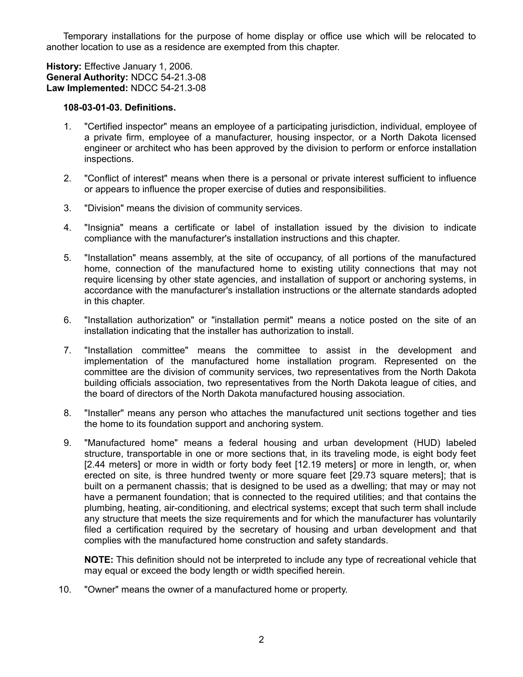Temporary installations for the purpose of home display or office use which will be relocated to another location to use as a residence are exempted from this chapter.

**History:** Effective January 1, 2006. **General Authority:** NDCC 54-21.3-08 **Law Implemented:** NDCC 54-21.3-08

## **108-03-01-03. Definitions.**

- 1. "Certified inspector" means an employee of a participating jurisdiction, individual, employee of a private firm, employee of a manufacturer, housing inspector, or a North Dakota licensed engineer or architect who has been approved by the division to perform or enforce installation inspections.
- 2. "Conflict of interest" means when there is a personal or private interest sufficient to influence or appears to influence the proper exercise of duties and responsibilities.
- 3. "Division" means the division of community services.
- 4. "Insignia" means a certificate or label of installation issued by the division to indicate compliance with the manufacturer's installation instructions and this chapter.
- 5. "Installation" means assembly, at the site of occupancy, of all portions of the manufactured home, connection of the manufactured home to existing utility connections that may not require licensing by other state agencies, and installation of support or anchoring systems, in accordance with the manufacturer's installation instructions or the alternate standards adopted in this chapter.
- 6. "Installation authorization" or "installation permit" means a notice posted on the site of an installation indicating that the installer has authorization to install.
- 7. "Installation committee" means the committee to assist in the development and implementation of the manufactured home installation program. Represented on the committee are the division of community services, two representatives from the North Dakota building officials association, two representatives from the North Dakota league of cities, and the board of directors of the North Dakota manufactured housing association.
- 8. "Installer" means any person who attaches the manufactured unit sections together and ties the home to its foundation support and anchoring system.
- 9. "Manufactured home" means a federal housing and urban development (HUD) labeled structure, transportable in one or more sections that, in its traveling mode, is eight body feet [2.44 meters] or more in width or forty body feet [12.19 meters] or more in length, or, when erected on site, is three hundred twenty or more square feet [29.73 square meters]; that is built on a permanent chassis; that is designed to be used as a dwelling; that may or may not have a permanent foundation; that is connected to the required utilities; and that contains the plumbing, heating, air-conditioning, and electrical systems; except that such term shall include any structure that meets the size requirements and for which the manufacturer has voluntarily filed a certification required by the secretary of housing and urban development and that complies with the manufactured home construction and safety standards.

**NOTE:** This definition should not be interpreted to include any type of recreational vehicle that may equal or exceed the body length or width specified herein.

10. "Owner" means the owner of a manufactured home or property.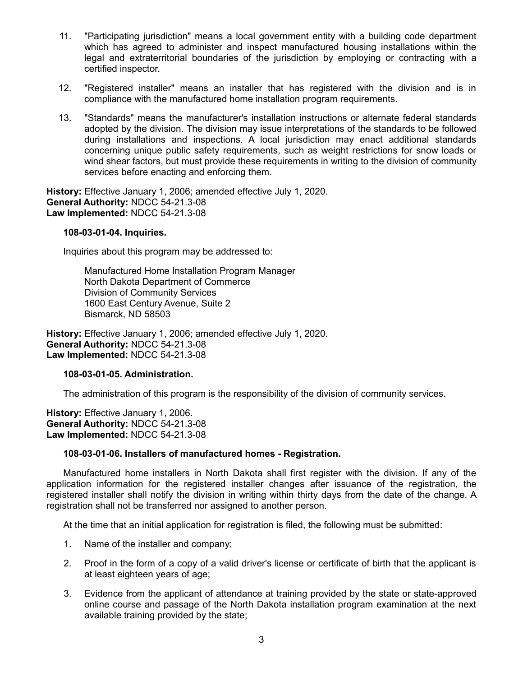- 11. "Participating jurisdiction" means a local government entity with a building code department which has agreed to administer and inspect manufactured housing installations within the legal and extraterritorial boundaries of the jurisdiction by employing or contracting with a certified inspector.
- 12. "Registered installer" means an installer that has registered with the division and is in compliance with the manufactured home installation program requirements.
- 13. "Standards" means the manufacturer's installation instructions or alternate federal standards adopted by the division. The division may issue interpretations of the standards to be followed during installations and inspections. A local jurisdiction may enact additional standards concerning unique public safety requirements, such as weight restrictions for snow loads or wind shear factors, but must provide these requirements in writing to the division of community services before enacting and enforcing them.

**History:** Effective January 1, 2006; amended effective July 1, 2020. **General Authority:** NDCC 54-21.3-08 **Law Implemented:** NDCC 54-21.3-08

## **108-03-01-04. Inquiries.**

Inquiries about this program may be addressed to:

Manufactured Home Installation Program Manager North Dakota Department of Commerce Division of Community Services 1600 East Century Avenue, Suite 2 Bismarck, ND 58503

**History:** Effective January 1, 2006; amended effective July 1, 2020. **General Authority:** NDCC 54-21.3-08 **Law Implemented:** NDCC 54-21.3-08

## **108-03-01-05. Administration.**

The administration of this program is the responsibility of the division of community services.

**History:** Effective January 1, 2006. **General Authority:** NDCC 54-21.3-08 **Law Implemented:** NDCC 54-21.3-08

## **108-03-01-06. Installers of manufactured homes - Registration.**

Manufactured home installers in North Dakota shall first register with the division. If any of the application information for the registered installer changes after issuance of the registration, the registered installer shall notify the division in writing within thirty days from the date of the change. A registration shall not be transferred nor assigned to another person.

At the time that an initial application for registration is filed, the following must be submitted:

- 1. Name of the installer and company;
- 2. Proof in the form of a copy of a valid driver's license or certificate of birth that the applicant is at least eighteen years of age;
- 3. Evidence from the applicant of attendance at training provided by the state or state-approved online course and passage of the North Dakota installation program examination at the next available training provided by the state;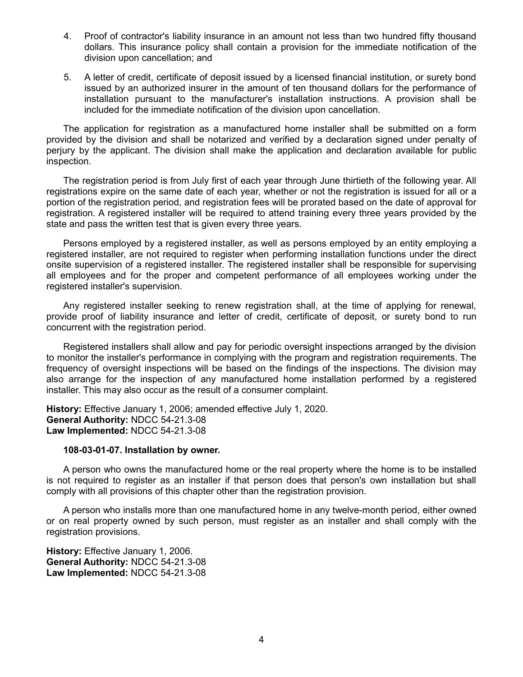- 4. Proof of contractor's liability insurance in an amount not less than two hundred fifty thousand dollars. This insurance policy shall contain a provision for the immediate notification of the division upon cancellation; and
- 5. A letter of credit, certificate of deposit issued by a licensed financial institution, or surety bond issued by an authorized insurer in the amount of ten thousand dollars for the performance of installation pursuant to the manufacturer's installation instructions. A provision shall be included for the immediate notification of the division upon cancellation.

The application for registration as a manufactured home installer shall be submitted on a form provided by the division and shall be notarized and verified by a declaration signed under penalty of perjury by the applicant. The division shall make the application and declaration available for public inspection.

The registration period is from July first of each year through June thirtieth of the following year. All registrations expire on the same date of each year, whether or not the registration is issued for all or a portion of the registration period, and registration fees will be prorated based on the date of approval for registration. A registered installer will be required to attend training every three years provided by the state and pass the written test that is given every three years.

Persons employed by a registered installer, as well as persons employed by an entity employing a registered installer, are not required to register when performing installation functions under the direct onsite supervision of a registered installer. The registered installer shall be responsible for supervising all employees and for the proper and competent performance of all employees working under the registered installer's supervision.

Any registered installer seeking to renew registration shall, at the time of applying for renewal, provide proof of liability insurance and letter of credit, certificate of deposit, or surety bond to run concurrent with the registration period.

Registered installers shall allow and pay for periodic oversight inspections arranged by the division to monitor the installer's performance in complying with the program and registration requirements. The frequency of oversight inspections will be based on the findings of the inspections. The division may also arrange for the inspection of any manufactured home installation performed by a registered installer. This may also occur as the result of a consumer complaint.

**History:** Effective January 1, 2006; amended effective July 1, 2020. **General Authority:** NDCC 54-21.3-08 **Law Implemented:** NDCC 54-21.3-08

## **108-03-01-07. Installation by owner.**

A person who owns the manufactured home or the real property where the home is to be installed is not required to register as an installer if that person does that person's own installation but shall comply with all provisions of this chapter other than the registration provision.

A person who installs more than one manufactured home in any twelve-month period, either owned or on real property owned by such person, must register as an installer and shall comply with the registration provisions.

**History:** Effective January 1, 2006. **General Authority:** NDCC 54-21.3-08 **Law Implemented:** NDCC 54-21.3-08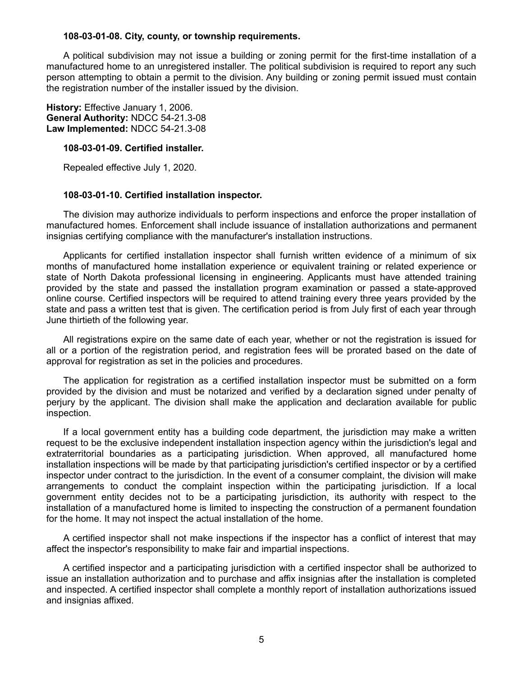#### **108-03-01-08. City, county, or township requirements.**

A political subdivision may not issue a building or zoning permit for the first-time installation of a manufactured home to an unregistered installer. The political subdivision is required to report any such person attempting to obtain a permit to the division. Any building or zoning permit issued must contain the registration number of the installer issued by the division.

**History:** Effective January 1, 2006. **General Authority:** NDCC 54-21.3-08 **Law Implemented:** NDCC 54-21.3-08

#### **108-03-01-09. Certified installer.**

Repealed effective July 1, 2020.

## **108-03-01-10. Certified installation inspector.**

The division may authorize individuals to perform inspections and enforce the proper installation of manufactured homes. Enforcement shall include issuance of installation authorizations and permanent insignias certifying compliance with the manufacturer's installation instructions.

Applicants for certified installation inspector shall furnish written evidence of a minimum of six months of manufactured home installation experience or equivalent training or related experience or state of North Dakota professional licensing in engineering. Applicants must have attended training provided by the state and passed the installation program examination or passed a state-approved online course. Certified inspectors will be required to attend training every three years provided by the state and pass a written test that is given. The certification period is from July first of each year through June thirtieth of the following year.

All registrations expire on the same date of each year, whether or not the registration is issued for all or a portion of the registration period, and registration fees will be prorated based on the date of approval for registration as set in the policies and procedures.

The application for registration as a certified installation inspector must be submitted on a form provided by the division and must be notarized and verified by a declaration signed under penalty of perjury by the applicant. The division shall make the application and declaration available for public inspection.

If a local government entity has a building code department, the jurisdiction may make a written request to be the exclusive independent installation inspection agency within the jurisdiction's legal and extraterritorial boundaries as a participating jurisdiction. When approved, all manufactured home installation inspections will be made by that participating jurisdiction's certified inspector or by a certified inspector under contract to the jurisdiction. In the event of a consumer complaint, the division will make arrangements to conduct the complaint inspection within the participating jurisdiction. If a local government entity decides not to be a participating jurisdiction, its authority with respect to the installation of a manufactured home is limited to inspecting the construction of a permanent foundation for the home. It may not inspect the actual installation of the home.

A certified inspector shall not make inspections if the inspector has a conflict of interest that may affect the inspector's responsibility to make fair and impartial inspections.

A certified inspector and a participating jurisdiction with a certified inspector shall be authorized to issue an installation authorization and to purchase and affix insignias after the installation is completed and inspected. A certified inspector shall complete a monthly report of installation authorizations issued and insignias affixed.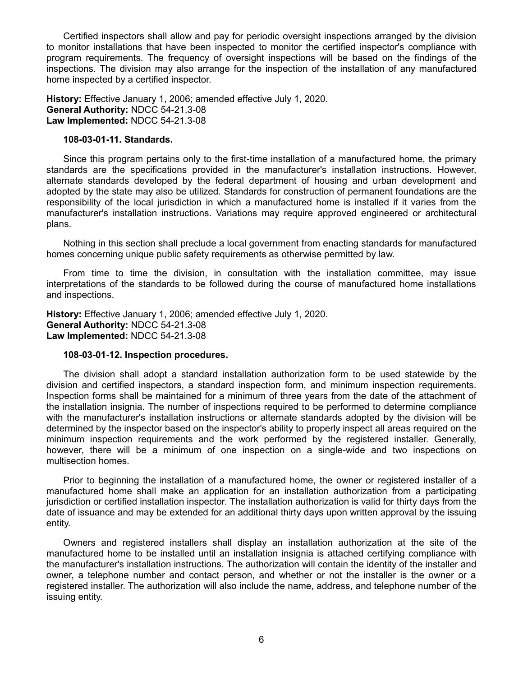Certified inspectors shall allow and pay for periodic oversight inspections arranged by the division to monitor installations that have been inspected to monitor the certified inspector's compliance with program requirements. The frequency of oversight inspections will be based on the findings of the inspections. The division may also arrange for the inspection of the installation of any manufactured home inspected by a certified inspector.

**History:** Effective January 1, 2006; amended effective July 1, 2020. **General Authority:** NDCC 54-21.3-08 **Law Implemented:** NDCC 54-21.3-08

#### **108-03-01-11. Standards.**

Since this program pertains only to the first-time installation of a manufactured home, the primary standards are the specifications provided in the manufacturer's installation instructions. However, alternate standards developed by the federal department of housing and urban development and adopted by the state may also be utilized. Standards for construction of permanent foundations are the responsibility of the local jurisdiction in which a manufactured home is installed if it varies from the manufacturer's installation instructions. Variations may require approved engineered or architectural plans.

Nothing in this section shall preclude a local government from enacting standards for manufactured homes concerning unique public safety requirements as otherwise permitted by law.

From time to time the division, in consultation with the installation committee, may issue interpretations of the standards to be followed during the course of manufactured home installations and inspections.

**History:** Effective January 1, 2006; amended effective July 1, 2020. **General Authority:** NDCC 54-21.3-08 **Law Implemented:** NDCC 54-21.3-08

## **108-03-01-12. Inspection procedures.**

The division shall adopt a standard installation authorization form to be used statewide by the division and certified inspectors, a standard inspection form, and minimum inspection requirements. Inspection forms shall be maintained for a minimum of three years from the date of the attachment of the installation insignia. The number of inspections required to be performed to determine compliance with the manufacturer's installation instructions or alternate standards adopted by the division will be determined by the inspector based on the inspector's ability to properly inspect all areas required on the minimum inspection requirements and the work performed by the registered installer. Generally, however, there will be a minimum of one inspection on a single-wide and two inspections on multisection homes.

Prior to beginning the installation of a manufactured home, the owner or registered installer of a manufactured home shall make an application for an installation authorization from a participating jurisdiction or certified installation inspector. The installation authorization is valid for thirty days from the date of issuance and may be extended for an additional thirty days upon written approval by the issuing entity.

Owners and registered installers shall display an installation authorization at the site of the manufactured home to be installed until an installation insignia is attached certifying compliance with the manufacturer's installation instructions. The authorization will contain the identity of the installer and owner, a telephone number and contact person, and whether or not the installer is the owner or a registered installer. The authorization will also include the name, address, and telephone number of the issuing entity.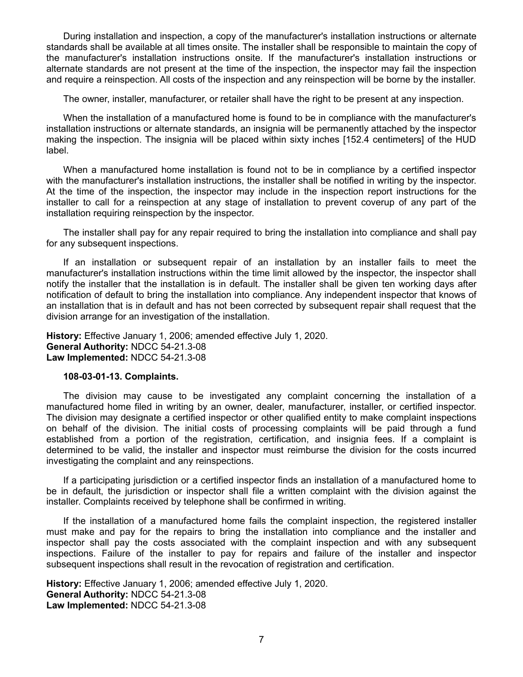During installation and inspection, a copy of the manufacturer's installation instructions or alternate standards shall be available at all times onsite. The installer shall be responsible to maintain the copy of the manufacturer's installation instructions onsite. If the manufacturer's installation instructions or alternate standards are not present at the time of the inspection, the inspector may fail the inspection and require a reinspection. All costs of the inspection and any reinspection will be borne by the installer.

The owner, installer, manufacturer, or retailer shall have the right to be present at any inspection.

When the installation of a manufactured home is found to be in compliance with the manufacturer's installation instructions or alternate standards, an insignia will be permanently attached by the inspector making the inspection. The insignia will be placed within sixty inches [152.4 centimeters] of the HUD label.

When a manufactured home installation is found not to be in compliance by a certified inspector with the manufacturer's installation instructions, the installer shall be notified in writing by the inspector. At the time of the inspection, the inspector may include in the inspection report instructions for the installer to call for a reinspection at any stage of installation to prevent coverup of any part of the installation requiring reinspection by the inspector.

The installer shall pay for any repair required to bring the installation into compliance and shall pay for any subsequent inspections.

If an installation or subsequent repair of an installation by an installer fails to meet the manufacturer's installation instructions within the time limit allowed by the inspector, the inspector shall notify the installer that the installation is in default. The installer shall be given ten working days after notification of default to bring the installation into compliance. Any independent inspector that knows of an installation that is in default and has not been corrected by subsequent repair shall request that the division arrange for an investigation of the installation.

**History:** Effective January 1, 2006; amended effective July 1, 2020. **General Authority:** NDCC 54-21.3-08 **Law Implemented:** NDCC 54-21.3-08

## **108-03-01-13. Complaints.**

The division may cause to be investigated any complaint concerning the installation of a manufactured home filed in writing by an owner, dealer, manufacturer, installer, or certified inspector. The division may designate a certified inspector or other qualified entity to make complaint inspections on behalf of the division. The initial costs of processing complaints will be paid through a fund established from a portion of the registration, certification, and insignia fees. If a complaint is determined to be valid, the installer and inspector must reimburse the division for the costs incurred investigating the complaint and any reinspections.

If a participating jurisdiction or a certified inspector finds an installation of a manufactured home to be in default, the jurisdiction or inspector shall file a written complaint with the division against the installer. Complaints received by telephone shall be confirmed in writing.

If the installation of a manufactured home fails the complaint inspection, the registered installer must make and pay for the repairs to bring the installation into compliance and the installer and inspector shall pay the costs associated with the complaint inspection and with any subsequent inspections. Failure of the installer to pay for repairs and failure of the installer and inspector subsequent inspections shall result in the revocation of registration and certification.

**History:** Effective January 1, 2006; amended effective July 1, 2020. **General Authority:** NDCC 54-21.3-08 **Law Implemented:** NDCC 54-21.3-08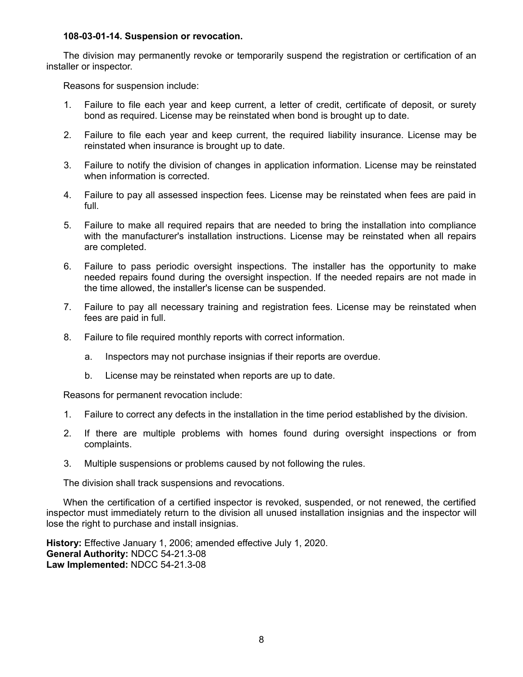## **108-03-01-14. Suspension or revocation.**

The division may permanently revoke or temporarily suspend the registration or certification of an installer or inspector.

Reasons for suspension include:

- 1. Failure to file each year and keep current, a letter of credit, certificate of deposit, or surety bond as required. License may be reinstated when bond is brought up to date.
- 2. Failure to file each year and keep current, the required liability insurance. License may be reinstated when insurance is brought up to date.
- 3. Failure to notify the division of changes in application information. License may be reinstated when information is corrected.
- 4. Failure to pay all assessed inspection fees. License may be reinstated when fees are paid in full.
- 5. Failure to make all required repairs that are needed to bring the installation into compliance with the manufacturer's installation instructions. License may be reinstated when all repairs are completed.
- 6. Failure to pass periodic oversight inspections. The installer has the opportunity to make needed repairs found during the oversight inspection. If the needed repairs are not made in the time allowed, the installer's license can be suspended.
- 7. Failure to pay all necessary training and registration fees. License may be reinstated when fees are paid in full.
- 8. Failure to file required monthly reports with correct information.
	- a. Inspectors may not purchase insignias if their reports are overdue.
	- b. License may be reinstated when reports are up to date.

Reasons for permanent revocation include:

- 1. Failure to correct any defects in the installation in the time period established by the division.
- 2. If there are multiple problems with homes found during oversight inspections or from complaints.
- 3. Multiple suspensions or problems caused by not following the rules.

The division shall track suspensions and revocations.

When the certification of a certified inspector is revoked, suspended, or not renewed, the certified inspector must immediately return to the division all unused installation insignias and the inspector will lose the right to purchase and install insignias.

**History:** Effective January 1, 2006; amended effective July 1, 2020. **General Authority:** NDCC 54-21.3-08 **Law Implemented:** NDCC 54-21.3-08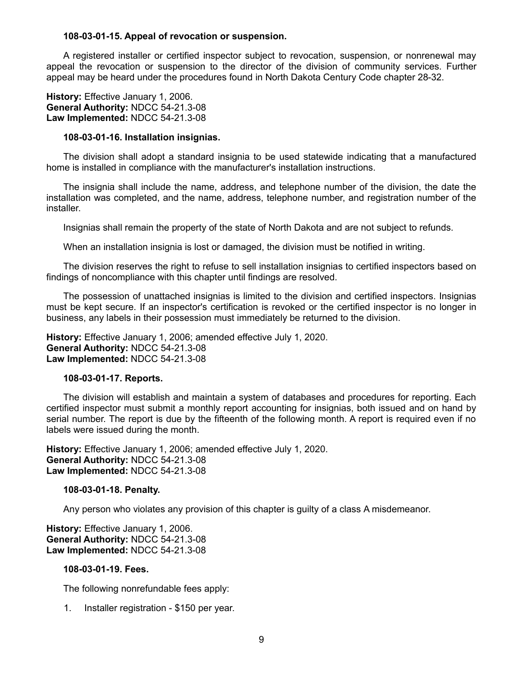### **108-03-01-15. Appeal of revocation or suspension.**

A registered installer or certified inspector subject to revocation, suspension, or nonrenewal may appeal the revocation or suspension to the director of the division of community services. Further appeal may be heard under the procedures found in North Dakota Century Code chapter 28-32.

**History:** Effective January 1, 2006. **General Authority:** NDCC 54-21.3-08 **Law Implemented:** NDCC 54-21.3-08

#### **108-03-01-16. Installation insignias.**

The division shall adopt a standard insignia to be used statewide indicating that a manufactured home is installed in compliance with the manufacturer's installation instructions.

The insignia shall include the name, address, and telephone number of the division, the date the installation was completed, and the name, address, telephone number, and registration number of the installer.

Insignias shall remain the property of the state of North Dakota and are not subject to refunds.

When an installation insignia is lost or damaged, the division must be notified in writing.

The division reserves the right to refuse to sell installation insignias to certified inspectors based on findings of noncompliance with this chapter until findings are resolved.

The possession of unattached insignias is limited to the division and certified inspectors. Insignias must be kept secure. If an inspector's certification is revoked or the certified inspector is no longer in business, any labels in their possession must immediately be returned to the division.

**History:** Effective January 1, 2006; amended effective July 1, 2020. **General Authority:** NDCC 54-21.3-08 **Law Implemented:** NDCC 54-21.3-08

#### **108-03-01-17. Reports.**

The division will establish and maintain a system of databases and procedures for reporting. Each certified inspector must submit a monthly report accounting for insignias, both issued and on hand by serial number. The report is due by the fifteenth of the following month. A report is required even if no labels were issued during the month.

**History:** Effective January 1, 2006; amended effective July 1, 2020. **General Authority:** NDCC 54-21.3-08 **Law Implemented:** NDCC 54-21.3-08

#### **108-03-01-18. Penalty.**

Any person who violates any provision of this chapter is guilty of a class A misdemeanor.

**History:** Effective January 1, 2006. **General Authority:** NDCC 54-21.3-08 **Law Implemented:** NDCC 54-21.3-08

#### **108-03-01-19. Fees.**

The following nonrefundable fees apply:

1. Installer registration - \$150 per year.